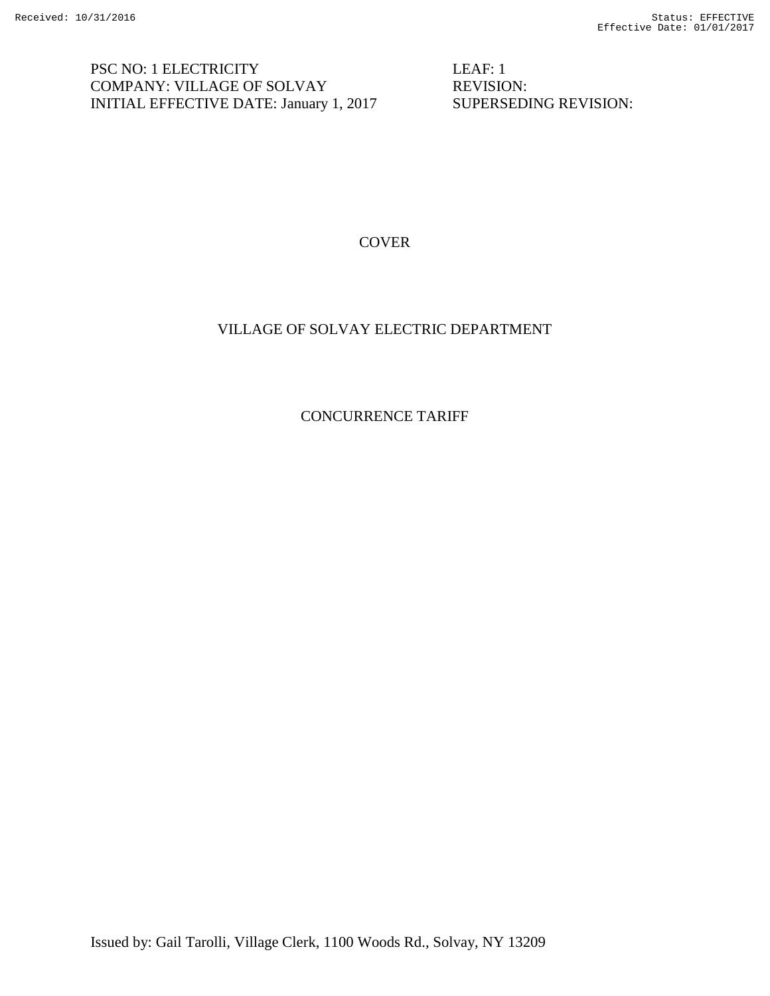PSC NO: 1 ELECTRICITY LEAF: 1 COMPANY: VILLAGE OF SOLVAY REVISION: INITIAL EFFECTIVE DATE: January 1, 2017 SUPERSEDING REVISION:

**COVER** 

## VILLAGE OF SOLVAY ELECTRIC DEPARTMENT

CONCURRENCE TARIFF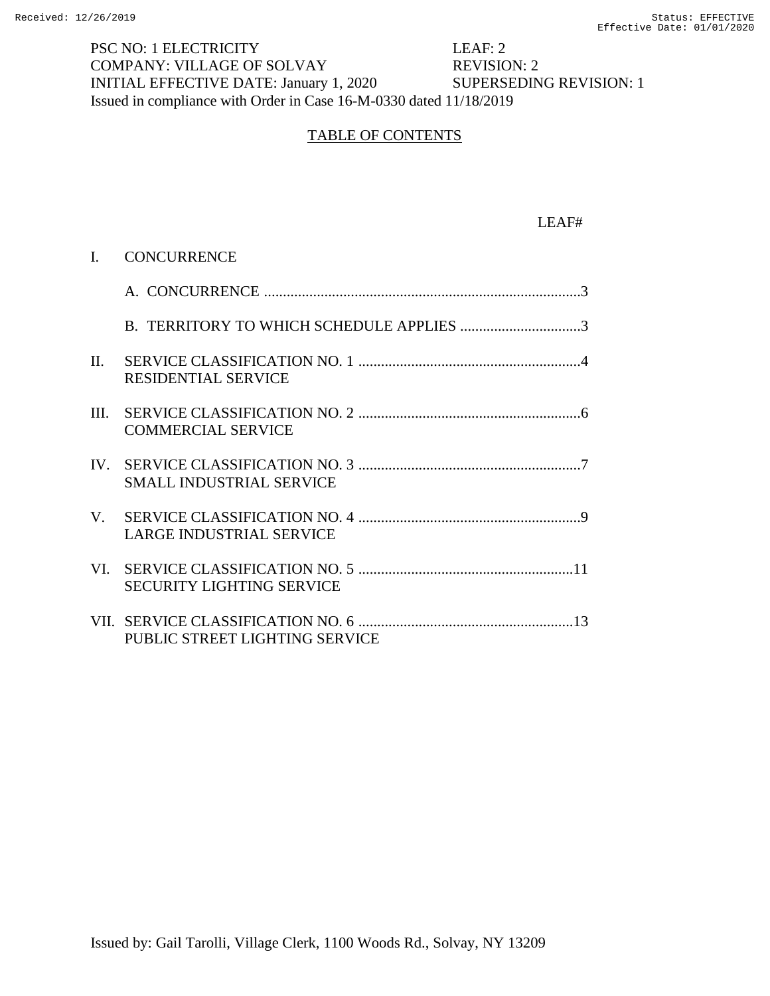PSC NO: 1 ELECTRICITY LEAF: 2 COMPANY: VILLAGE OF SOLVAY REVISION: 2 INITIAL EFFECTIVE DATE: January 1, 2020 SUPERSEDING REVISION: 1 Issued in compliance with Order in Case 16-M-0330 dated 11/18/2019

# TABLE OF CONTENTS

#### LEAF#

|         | I. CONCURRENCE                   |
|---------|----------------------------------|
|         |                                  |
|         |                                  |
| $\Pi$ . | <b>RESIDENTIAL SERVICE</b>       |
|         | <b>COMMERCIAL SERVICE</b>        |
|         | <b>SMALL INDUSTRIAL SERVICE</b>  |
|         | <b>LARGE INDUSTRIAL SERVICE</b>  |
|         | <b>SECURITY LIGHTING SERVICE</b> |
|         | PUBLIC STREET LIGHTING SERVICE   |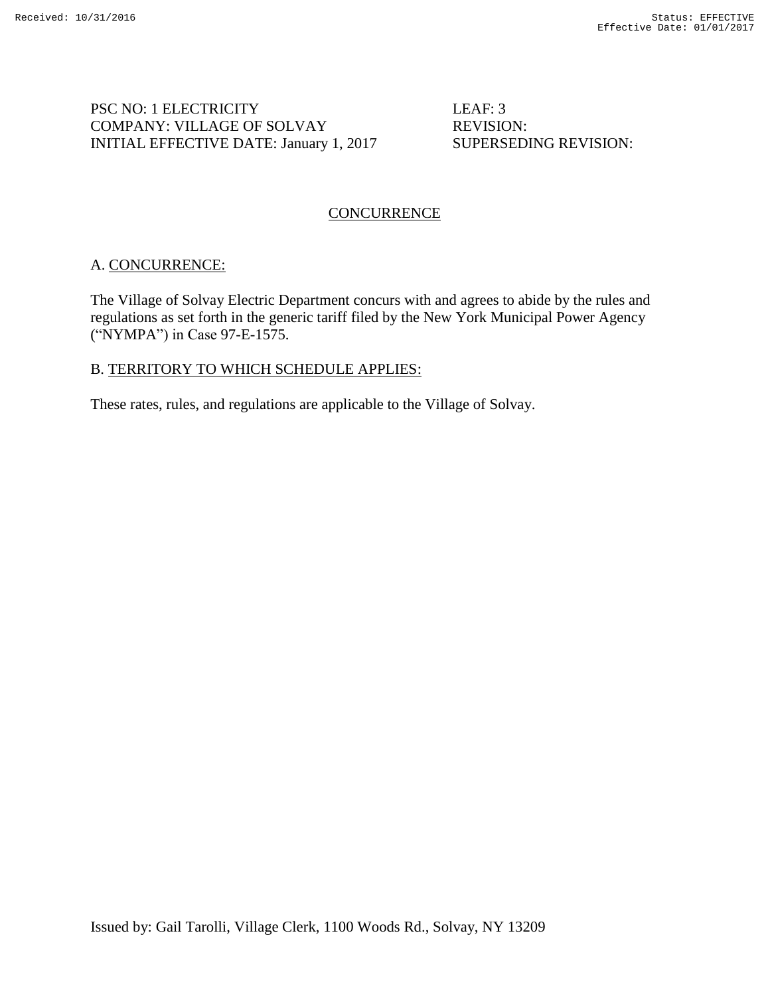# PSC NO: 1 ELECTRICITY LEAF: 3 COMPANY: VILLAGE OF SOLVAY REVISION: INITIAL EFFECTIVE DATE: January 1, 2017 SUPERSEDING REVISION:

# **CONCURRENCE**

## A. CONCURRENCE:

The Village of Solvay Electric Department concurs with and agrees to abide by the rules and regulations as set forth in the generic tariff filed by the New York Municipal Power Agency ("NYMPA") in Case 97-E-1575.

## B. TERRITORY TO WHICH SCHEDULE APPLIES:

These rates, rules, and regulations are applicable to the Village of Solvay.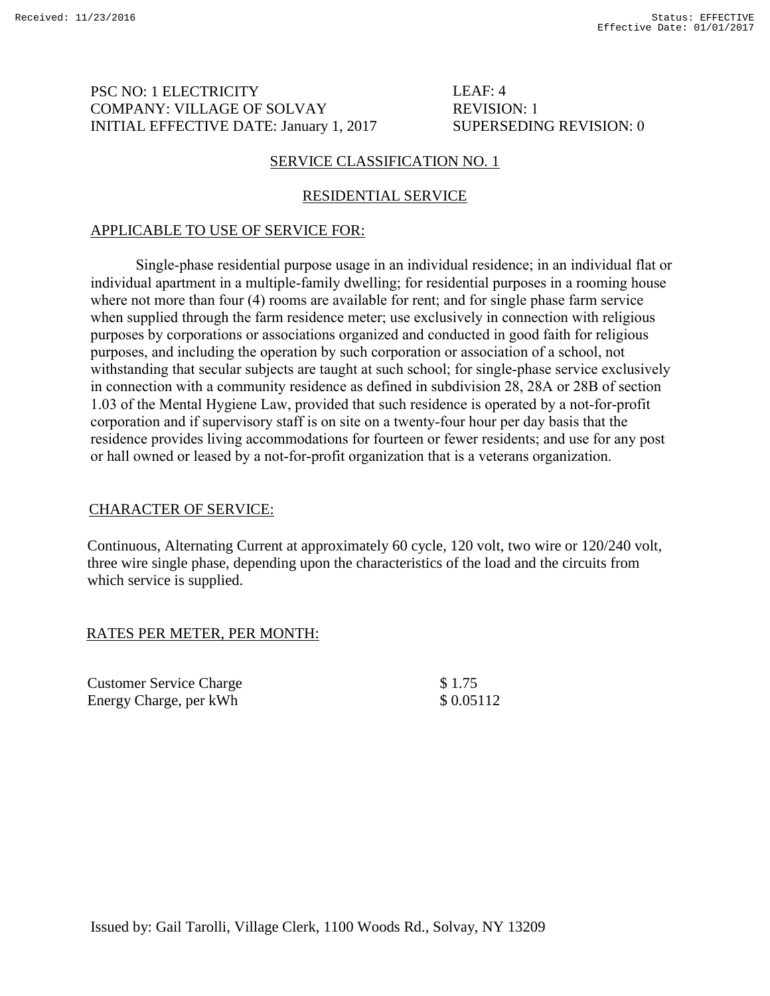## PSC NO: 1 ELECTRICITY COMPANY: VILLAGE OF SOLVAY INITIAL EFFECTIVE DATE: January 1, 2017

## LEAF: 4 REVISION: 1 SUPERSEDING REVISION: 0

# SERVICE CLASSIFICATION NO. 1

# RESIDENTIAL SERVICE

# APPLICABLE TO USE OF SERVICE FOR:

Single-phase residential purpose usage in an individual residence; in an individual flat or individual apartment in a multiple-family dwelling; for residential purposes in a rooming house where not more than four (4) rooms are available for rent; and for single phase farm service when supplied through the farm residence meter; use exclusively in connection with religious purposes by corporations or associations organized and conducted in good faith for religious purposes, and including the operation by such corporation or association of a school, not withstanding that secular subjects are taught at such school; for single-phase service exclusively in connection with a community residence as defined in subdivision 28, 28A or 28B of section 1.03 of the Mental Hygiene Law, provided that such residence is operated by a not-for-profit corporation and if supervisory staff is on site on a twenty-four hour per day basis that the residence provides living accommodations for fourteen or fewer residents; and use for any post or hall owned or leased by a not-for-profit organization that is a veterans organization.

# CHARACTER OF SERVICE:

Continuous, Alternating Current at approximately 60 cycle, 120 volt, two wire or 120/240 volt, three wire single phase, depending upon the characteristics of the load and the circuits from which service is supplied.

## RATES PER METER, PER MONTH:

Customer Service Charge  $$ 1.75$ Energy Charge, per kWh  $$ 0.05112$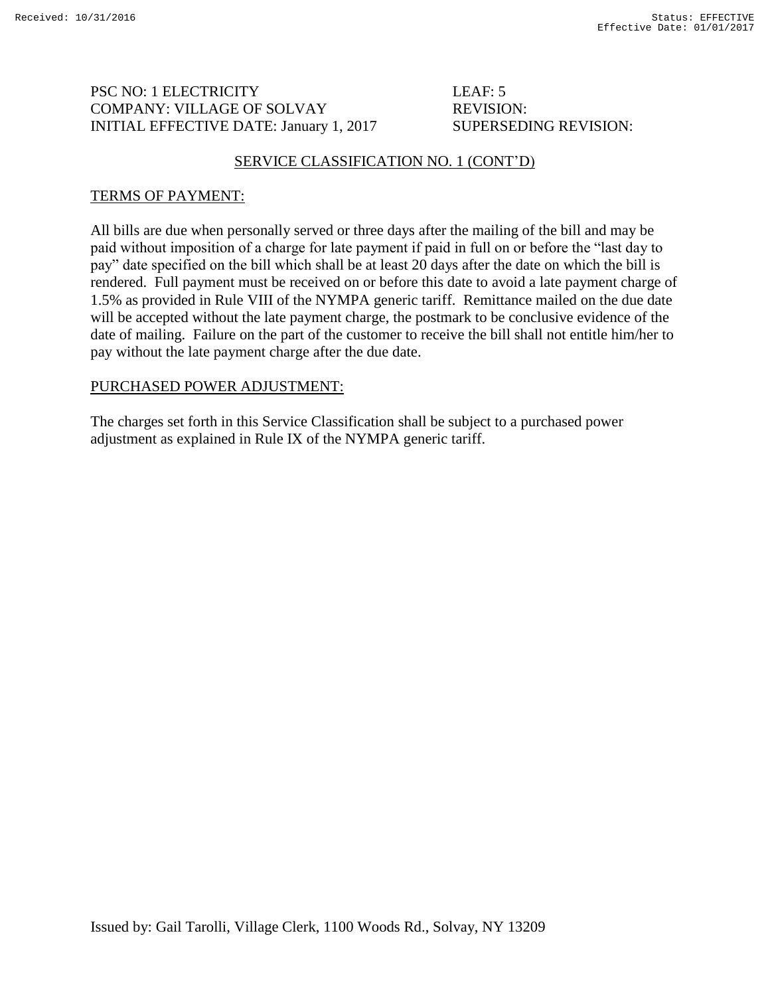# PSC NO: 1 ELECTRICITY LEAF: 5 COMPANY: VILLAGE OF SOLVAY REVISION: INITIAL EFFECTIVE DATE: January 1, 2017 SUPERSEDING REVISION:

# SERVICE CLASSIFICATION NO. 1 (CONT'D)

# TERMS OF PAYMENT:

All bills are due when personally served or three days after the mailing of the bill and may be paid without imposition of a charge for late payment if paid in full on or before the "last day to pay" date specified on the bill which shall be at least 20 days after the date on which the bill is rendered. Full payment must be received on or before this date to avoid a late payment charge of 1.5% as provided in Rule VIII of the NYMPA generic tariff. Remittance mailed on the due date will be accepted without the late payment charge, the postmark to be conclusive evidence of the date of mailing. Failure on the part of the customer to receive the bill shall not entitle him/her to pay without the late payment charge after the due date.

# PURCHASED POWER ADJUSTMENT: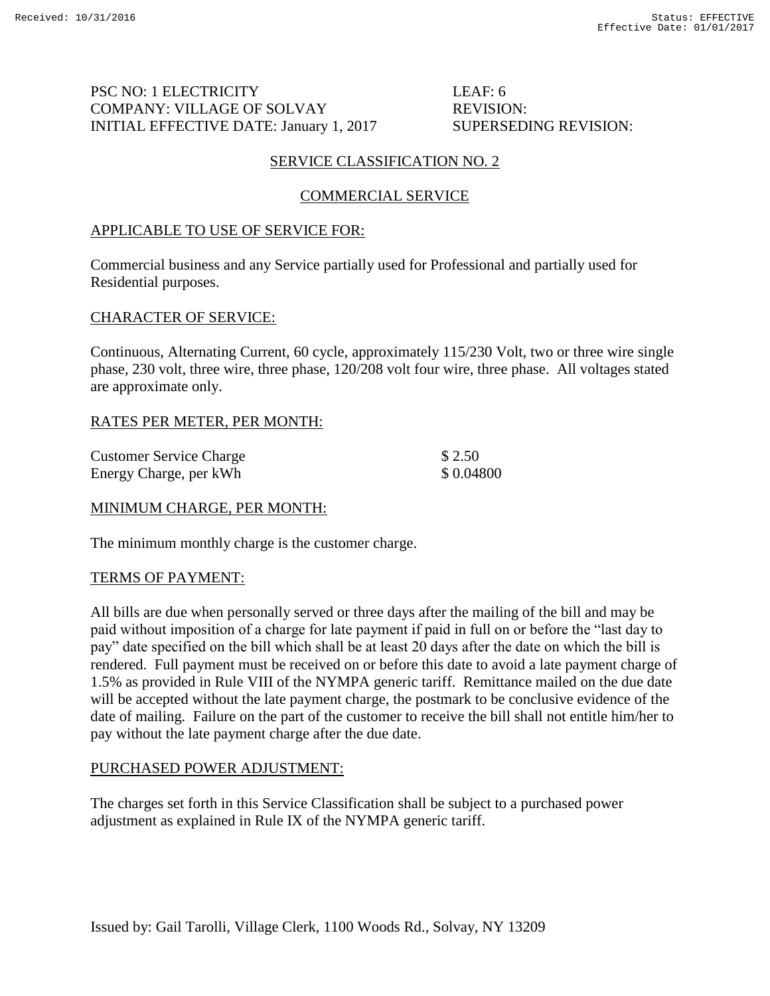# PSC NO: 1 ELECTRICITY LEAF: 6 COMPANY: VILLAGE OF SOLVAY REVISION: INITIAL EFFECTIVE DATE: January 1, 2017 SUPERSEDING REVISION:

# SERVICE CLASSIFICATION NO. 2

# COMMERCIAL SERVICE

# APPLICABLE TO USE OF SERVICE FOR:

Commercial business and any Service partially used for Professional and partially used for Residential purposes.

## CHARACTER OF SERVICE:

Continuous, Alternating Current, 60 cycle, approximately 115/230 Volt, two or three wire single phase, 230 volt, three wire, three phase, 120/208 volt four wire, three phase. All voltages stated are approximate only.

# RATES PER METER, PER MONTH:

| <b>Customer Service Charge</b> | \$2.50    |
|--------------------------------|-----------|
| Energy Charge, per kWh         | \$0.04800 |

## MINIMUM CHARGE, PER MONTH:

The minimum monthly charge is the customer charge.

## TERMS OF PAYMENT:

All bills are due when personally served or three days after the mailing of the bill and may be paid without imposition of a charge for late payment if paid in full on or before the "last day to pay" date specified on the bill which shall be at least 20 days after the date on which the bill is rendered. Full payment must be received on or before this date to avoid a late payment charge of 1.5% as provided in Rule VIII of the NYMPA generic tariff. Remittance mailed on the due date will be accepted without the late payment charge, the postmark to be conclusive evidence of the date of mailing. Failure on the part of the customer to receive the bill shall not entitle him/her to pay without the late payment charge after the due date.

## PURCHASED POWER ADJUSTMENT: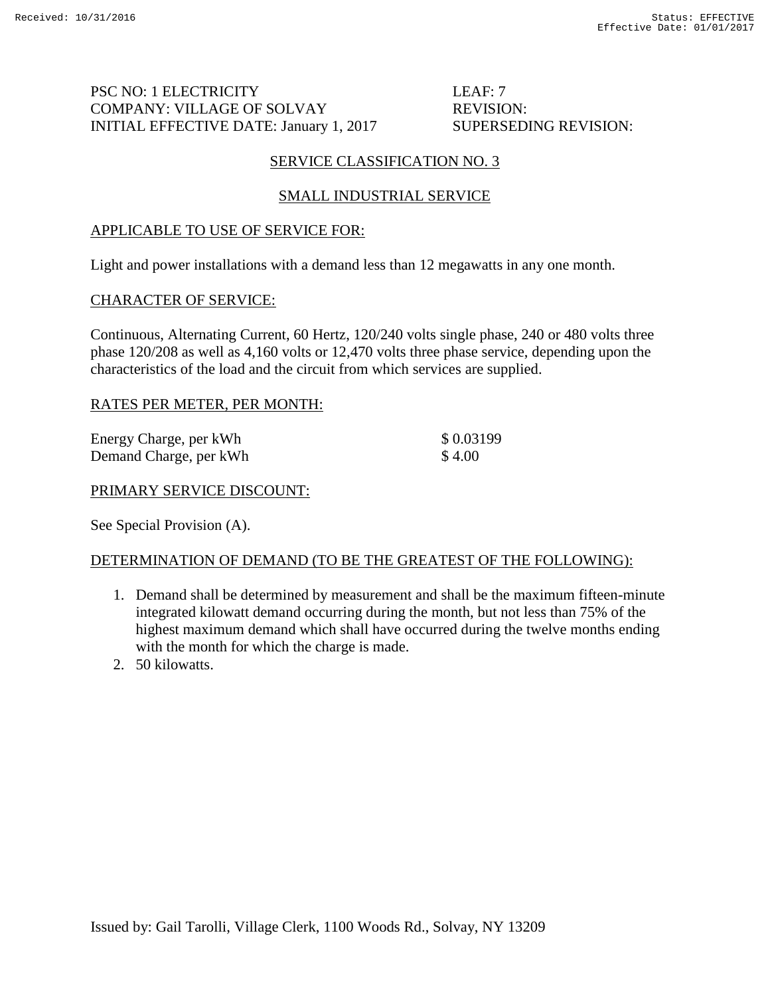# PSC NO: 1 ELECTRICITY LEAF: 7 COMPANY: VILLAGE OF SOLVAY REVISION: INITIAL EFFECTIVE DATE: January 1, 2017 SUPERSEDING REVISION:

# SERVICE CLASSIFICATION NO. 3

# SMALL INDUSTRIAL SERVICE

# APPLICABLE TO USE OF SERVICE FOR:

Light and power installations with a demand less than 12 megawatts in any one month.

## CHARACTER OF SERVICE:

Continuous, Alternating Current, 60 Hertz, 120/240 volts single phase, 240 or 480 volts three phase 120/208 as well as 4,160 volts or 12,470 volts three phase service, depending upon the characteristics of the load and the circuit from which services are supplied.

## RATES PER METER, PER MONTH:

| Energy Charge, per kWh | \$0.03199 |
|------------------------|-----------|
| Demand Charge, per kWh | \$4.00    |

#### PRIMARY SERVICE DISCOUNT:

See Special Provision (A).

## DETERMINATION OF DEMAND (TO BE THE GREATEST OF THE FOLLOWING):

- 1. Demand shall be determined by measurement and shall be the maximum fifteen-minute integrated kilowatt demand occurring during the month, but not less than 75% of the highest maximum demand which shall have occurred during the twelve months ending with the month for which the charge is made.
- 2. 50 kilowatts.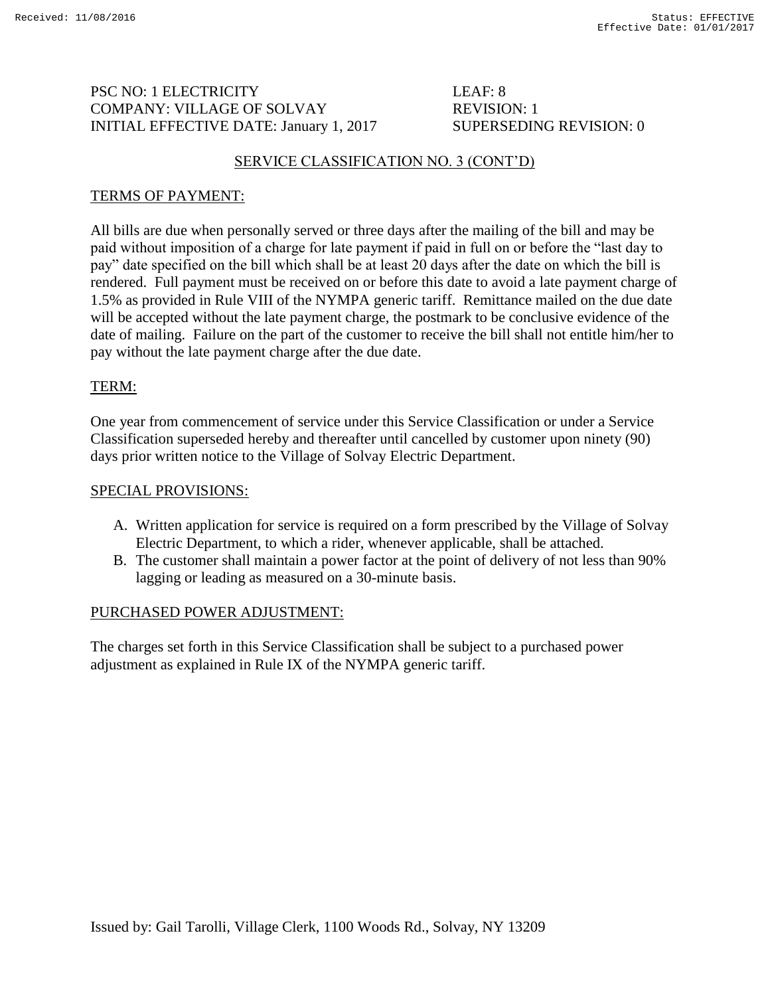# PSC NO: 1 ELECTRICITY LEAF: 8 COMPANY: VILLAGE OF SOLVAY REVISION: 1 INITIAL EFFECTIVE DATE: January 1, 2017 SUPERSEDING REVISION: 0

# SERVICE CLASSIFICATION NO. 3 (CONT'D)

# TERMS OF PAYMENT:

All bills are due when personally served or three days after the mailing of the bill and may be paid without imposition of a charge for late payment if paid in full on or before the "last day to pay" date specified on the bill which shall be at least 20 days after the date on which the bill is rendered. Full payment must be received on or before this date to avoid a late payment charge of 1.5% as provided in Rule VIII of the NYMPA generic tariff. Remittance mailed on the due date will be accepted without the late payment charge, the postmark to be conclusive evidence of the date of mailing. Failure on the part of the customer to receive the bill shall not entitle him/her to pay without the late payment charge after the due date.

# TERM:

One year from commencement of service under this Service Classification or under a Service Classification superseded hereby and thereafter until cancelled by customer upon ninety (90) days prior written notice to the Village of Solvay Electric Department.

#### SPECIAL PROVISIONS:

- A. Written application for service is required on a form prescribed by the Village of Solvay Electric Department, to which a rider, whenever applicable, shall be attached.
- B. The customer shall maintain a power factor at the point of delivery of not less than 90% lagging or leading as measured on a 30-minute basis.

## PURCHASED POWER ADJUSTMENT: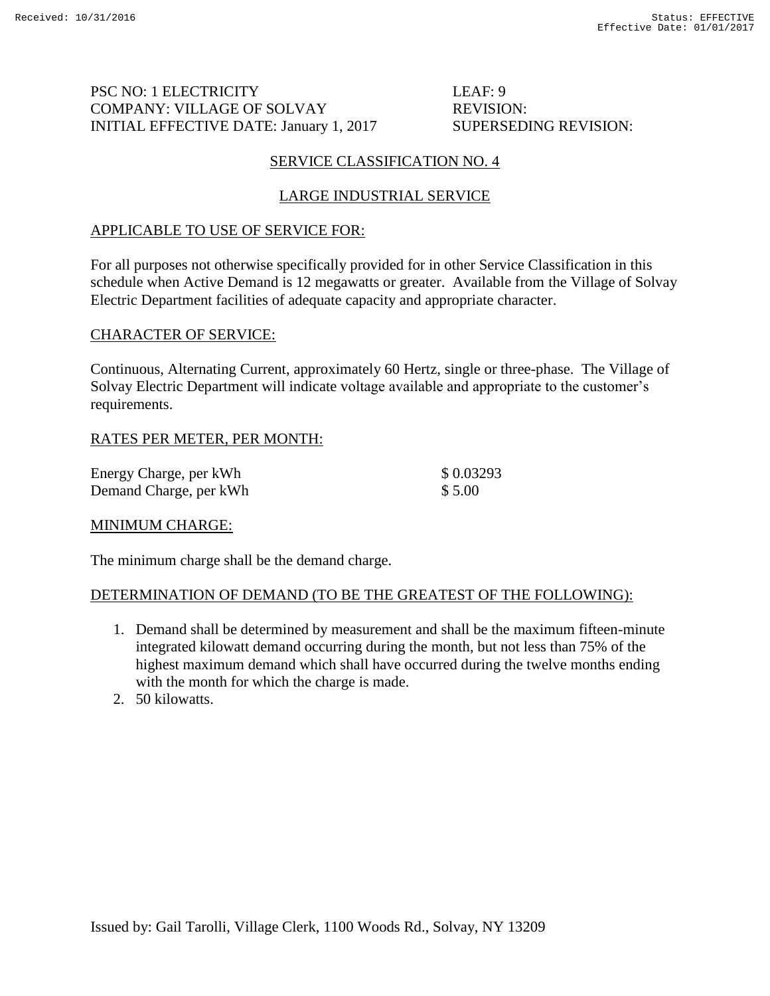# PSC NO: 1 ELECTRICITY LEAF: 9 COMPANY: VILLAGE OF SOLVAY REVISION: INITIAL EFFECTIVE DATE: January 1, 2017 SUPERSEDING REVISION:

# SERVICE CLASSIFICATION NO. 4

# LARGE INDUSTRIAL SERVICE

# APPLICABLE TO USE OF SERVICE FOR:

For all purposes not otherwise specifically provided for in other Service Classification in this schedule when Active Demand is 12 megawatts or greater. Available from the Village of Solvay Electric Department facilities of adequate capacity and appropriate character.

## CHARACTER OF SERVICE:

Continuous, Alternating Current, approximately 60 Hertz, single or three-phase. The Village of Solvay Electric Department will indicate voltage available and appropriate to the customer's requirements.

# RATES PER METER, PER MONTH:

| Energy Charge, per kWh | \$0.03293 |
|------------------------|-----------|
| Demand Charge, per kWh | \$5.00    |

## MINIMUM CHARGE:

The minimum charge shall be the demand charge.

## DETERMINATION OF DEMAND (TO BE THE GREATEST OF THE FOLLOWING):

- 1. Demand shall be determined by measurement and shall be the maximum fifteen-minute integrated kilowatt demand occurring during the month, but not less than 75% of the highest maximum demand which shall have occurred during the twelve months ending with the month for which the charge is made.
- 2. 50 kilowatts.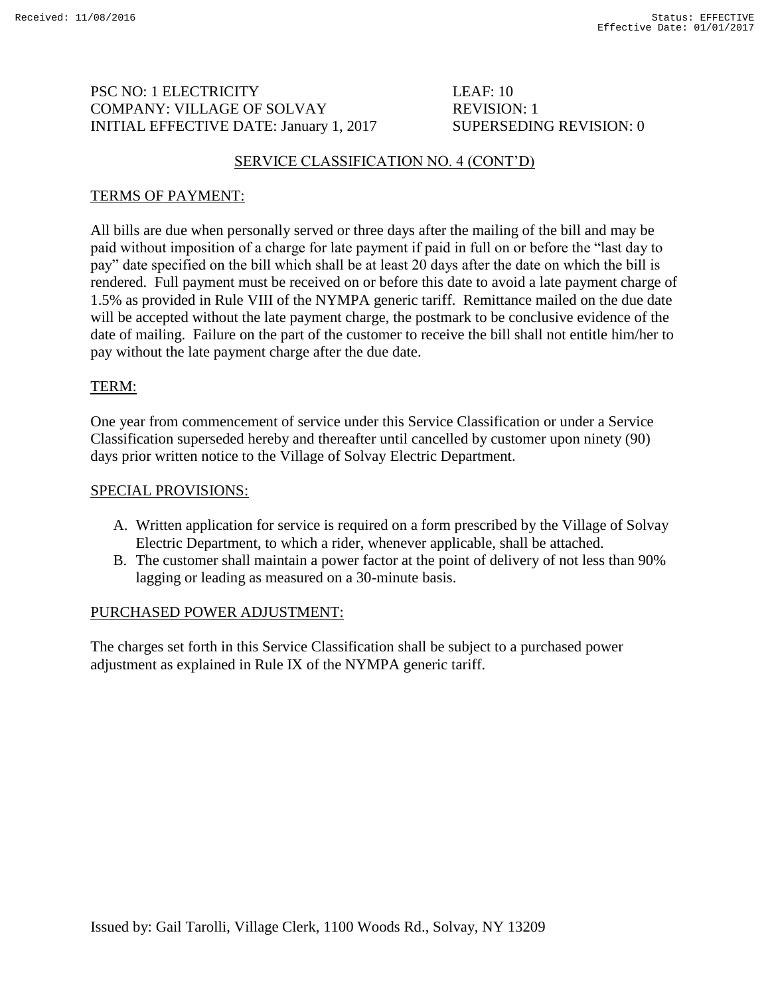# PSC NO: 1 ELECTRICITY LEAF: 10 COMPANY: VILLAGE OF SOLVAY REVISION: 1 INITIAL EFFECTIVE DATE: January 1, 2017 SUPERSEDING REVISION: 0

# SERVICE CLASSIFICATION NO. 4 (CONT'D)

# TERMS OF PAYMENT:

All bills are due when personally served or three days after the mailing of the bill and may be paid without imposition of a charge for late payment if paid in full on or before the "last day to pay" date specified on the bill which shall be at least 20 days after the date on which the bill is rendered. Full payment must be received on or before this date to avoid a late payment charge of 1.5% as provided in Rule VIII of the NYMPA generic tariff. Remittance mailed on the due date will be accepted without the late payment charge, the postmark to be conclusive evidence of the date of mailing. Failure on the part of the customer to receive the bill shall not entitle him/her to pay without the late payment charge after the due date.

# TERM:

One year from commencement of service under this Service Classification or under a Service Classification superseded hereby and thereafter until cancelled by customer upon ninety (90) days prior written notice to the Village of Solvay Electric Department.

#### SPECIAL PROVISIONS:

- A. Written application for service is required on a form prescribed by the Village of Solvay Electric Department, to which a rider, whenever applicable, shall be attached.
- B. The customer shall maintain a power factor at the point of delivery of not less than 90% lagging or leading as measured on a 30-minute basis.

## PURCHASED POWER ADJUSTMENT: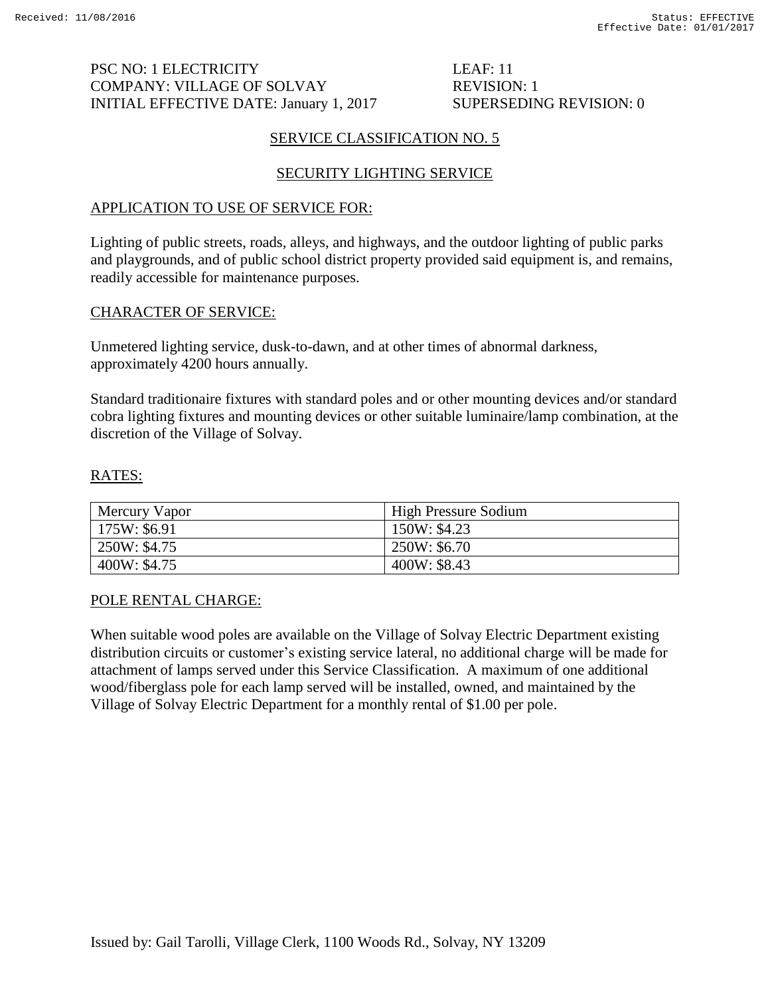# PSC NO: 1 ELECTRICITY LEAF: 11 COMPANY: VILLAGE OF SOLVAY REVISION: 1 INITIAL EFFECTIVE DATE: January 1, 2017 SUPERSEDING REVISION: 0

# SERVICE CLASSIFICATION NO. 5

# SECURITY LIGHTING SERVICE

# APPLICATION TO USE OF SERVICE FOR:

Lighting of public streets, roads, alleys, and highways, and the outdoor lighting of public parks and playgrounds, and of public school district property provided said equipment is, and remains, readily accessible for maintenance purposes.

# CHARACTER OF SERVICE:

Unmetered lighting service, dusk-to-dawn, and at other times of abnormal darkness, approximately 4200 hours annually.

Standard traditionaire fixtures with standard poles and or other mounting devices and/or standard cobra lighting fixtures and mounting devices or other suitable luminaire/lamp combination, at the discretion of the Village of Solvay.

# RATES:

| Mercury Vapor | <b>High Pressure Sodium</b> |
|---------------|-----------------------------|
| 175W: \$6.91  | 150W: \$4.23                |
| 250W: \$4.75  | 250W: \$6.70                |
| 400W: \$4.75  | 400W: \$8.43                |

## POLE RENTAL CHARGE:

When suitable wood poles are available on the Village of Solvay Electric Department existing distribution circuits or customer's existing service lateral, no additional charge will be made for attachment of lamps served under this Service Classification. A maximum of one additional wood/fiberglass pole for each lamp served will be installed, owned, and maintained by the Village of Solvay Electric Department for a monthly rental of \$1.00 per pole.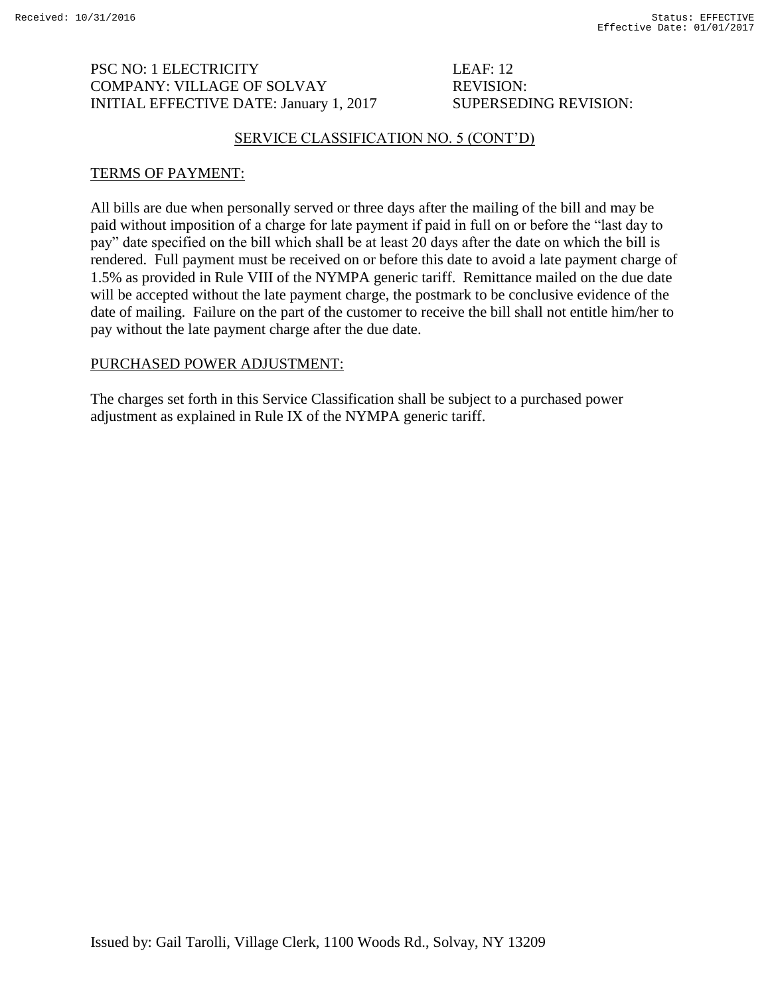# PSC NO: 1 ELECTRICITY LEAF: 12 COMPANY: VILLAGE OF SOLVAY REVISION: INITIAL EFFECTIVE DATE: January 1, 2017 SUPERSEDING REVISION:

#### SERVICE CLASSIFICATION NO. 5 (CONT'D)

#### TERMS OF PAYMENT:

All bills are due when personally served or three days after the mailing of the bill and may be paid without imposition of a charge for late payment if paid in full on or before the "last day to pay" date specified on the bill which shall be at least 20 days after the date on which the bill is rendered. Full payment must be received on or before this date to avoid a late payment charge of 1.5% as provided in Rule VIII of the NYMPA generic tariff. Remittance mailed on the due date will be accepted without the late payment charge, the postmark to be conclusive evidence of the date of mailing. Failure on the part of the customer to receive the bill shall not entitle him/her to pay without the late payment charge after the due date.

## PURCHASED POWER ADJUSTMENT: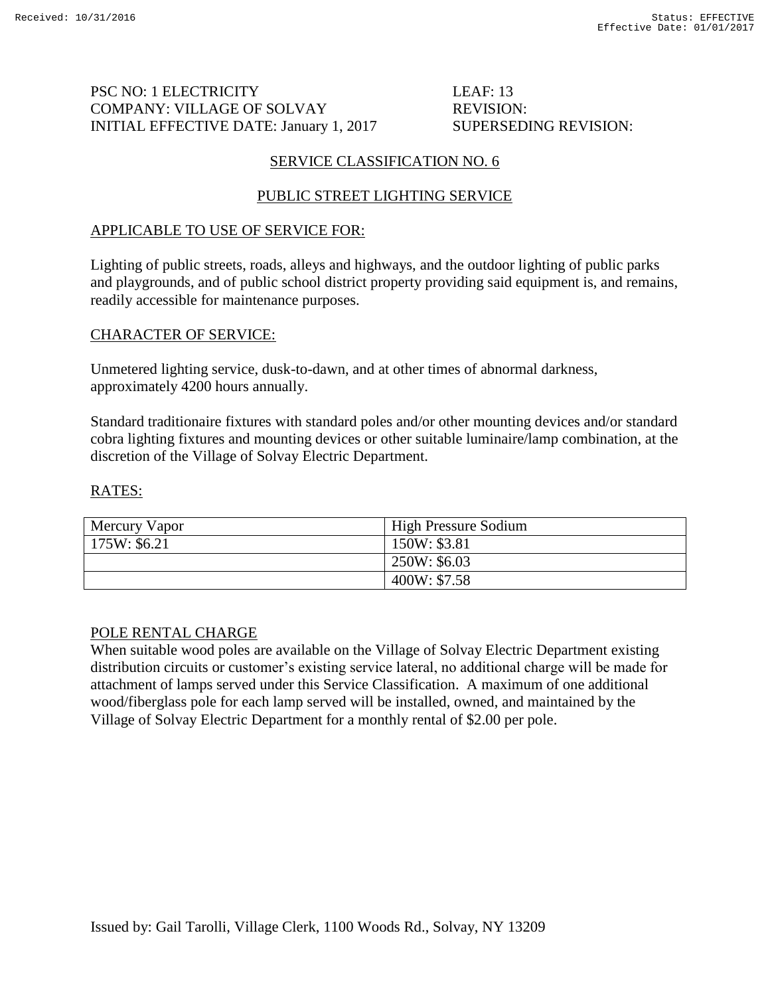# PSC NO: 1 ELECTRICITY LEAF: 13 COMPANY: VILLAGE OF SOLVAY REVISION: INITIAL EFFECTIVE DATE: January 1, 2017 SUPERSEDING REVISION:

# SERVICE CLASSIFICATION NO. 6

# PUBLIC STREET LIGHTING SERVICE

# APPLICABLE TO USE OF SERVICE FOR:

Lighting of public streets, roads, alleys and highways, and the outdoor lighting of public parks and playgrounds, and of public school district property providing said equipment is, and remains, readily accessible for maintenance purposes.

# CHARACTER OF SERVICE:

Unmetered lighting service, dusk-to-dawn, and at other times of abnormal darkness, approximately 4200 hours annually.

Standard traditionaire fixtures with standard poles and/or other mounting devices and/or standard cobra lighting fixtures and mounting devices or other suitable luminaire/lamp combination, at the discretion of the Village of Solvay Electric Department.

## RATES:

| Mercury Vapor | <b>High Pressure Sodium</b> |
|---------------|-----------------------------|
| 175W: \$6.21  | 150W: \$3.81                |
|               | 250W: \$6.03                |
|               | 400W: \$7.58                |

## POLE RENTAL CHARGE

When suitable wood poles are available on the Village of Solvay Electric Department existing distribution circuits or customer's existing service lateral, no additional charge will be made for attachment of lamps served under this Service Classification. A maximum of one additional wood/fiberglass pole for each lamp served will be installed, owned, and maintained by the Village of Solvay Electric Department for a monthly rental of \$2.00 per pole.